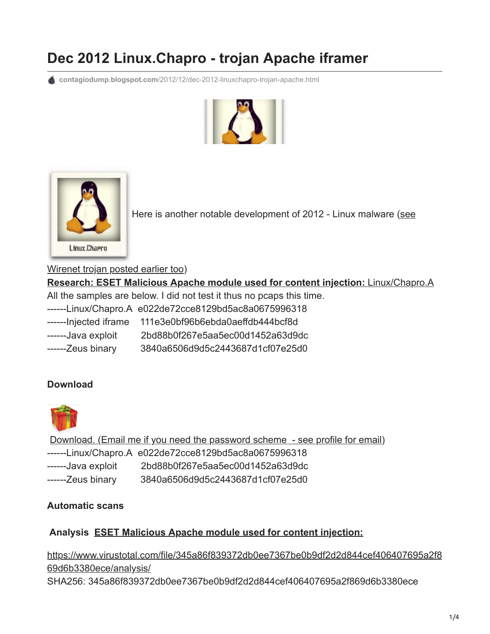## **Dec 2012 Linux.Chapro - trojan Apache iframer**

**contagiodump.blogspot.com**[/2012/12/dec-2012-linuxchapro-trojan-apache.html](http://contagiodump.blogspot.com/2012/12/dec-2012-linuxchapro-trojan-apache.html)





[Here is another notable development of 2012 - Linux malware \(see](http://contagiodump.blogspot.com/2012/12/aug-2012-backdoorwirenet-osx-and-linux.html)

Wirenet trojan posted earlier too)

**[Research: ESET Malicious Apache module used for content injection:](http://blog.eset.com/2012/12/18/malicious-apache-module-used-for-content-injection-linuxchapro-a)** Linux/Chapro.A All the samples are below. I did not test it thus no pcaps this time. ------Linux/Chapro.A e022de72cce8129bd5ac8a0675996318 ------Injected iframe 111e3e0bf96b6ebda0aeffdb444bcf8d ------Java exploit 2bd88b0f267e5aa5ec00d1452a63d9dc ------Zeus binary 3840a6506d9d5c2443687d1cf07e25d0

## **Download**



[Download. \(Email me if you need the password scheme - see profile for email\)](http://www.mediafire.com/?i5z41ym006d1t8r) ------Linux/Chapro.A e022de72cce8129bd5ac8a0675996318 ------Java exploit 2bd88b0f267e5aa5ec00d1452a63d9dc ------Zeus binary 3840a6506d9d5c2443687d1cf07e25d0

## **Automatic scans**

## **Analysis [ESET Malicious Apache module used for content injection:](http://blog.eset.com/2012/12/18/malicious-apache-module-used-for-content-injection-linuxchapro-a)**

[https://www.virustotal.com/file/345a86f839372db0ee7367be0b9df2d2d844cef406407695a2f8](https://www.virustotal.com/file/345a86f839372db0ee7367be0b9df2d2d844cef406407695a2f869d6b3380ece/analysis/) 69d6b3380ece/analysis/ SHA256: 345a86f839372db0ee7367be0b9df2d2d844cef406407695a2f869d6b3380ece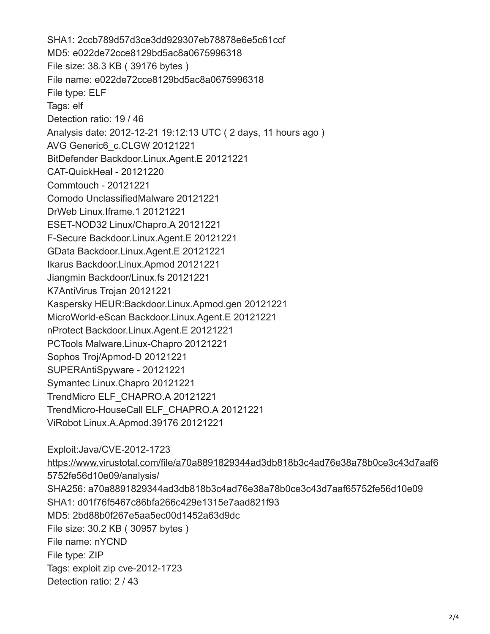SHA1: 2ccb789d57d3ce3dd929307eb78878e6e5c61ccf MD5: e022de72cce8129bd5ac8a0675996318 File size: 38.3 KB ( 39176 bytes ) File name: e022de72cce8129bd5ac8a0675996318 File type: ELF Tags: elf Detection ratio: 19 / 46 Analysis date: 2012-12-21 19:12:13 UTC ( 2 days, 11 hours ago ) AVG Generic6\_c.CLGW 20121221 BitDefender Backdoor.Linux.Agent.E 20121221 CAT-QuickHeal - 20121220 Commtouch - 20121221 Comodo UnclassifiedMalware 20121221 DrWeb Linux.Iframe.1 20121221 ESET-NOD32 Linux/Chapro.A 20121221 F-Secure Backdoor.Linux.Agent.E 20121221 GData Backdoor.Linux.Agent.E 20121221 Ikarus Backdoor.Linux.Apmod 20121221 Jiangmin Backdoor/Linux.fs 20121221 K7AntiVirus Trojan 20121221 Kaspersky HEUR:Backdoor.Linux.Apmod.gen 20121221 MicroWorld-eScan Backdoor.Linux.Agent.E 20121221 nProtect Backdoor.Linux.Agent.E 20121221 PCTools Malware.Linux-Chapro 20121221 Sophos Troj/Apmod-D 20121221 SUPERAntiSpyware - 20121221 Symantec Linux.Chapro 20121221 TrendMicro ELF\_CHAPRO.A 20121221 TrendMicro-HouseCall ELF\_CHAPRO.A 20121221 ViRobot Linux.A.Apmod.39176 20121221

Exploit:Java/CVE-2012-1723 [https://www.virustotal.com/file/a70a8891829344ad3db818b3c4ad76e38a78b0ce3c43d7aaf6](https://www.virustotal.com/file/a70a8891829344ad3db818b3c4ad76e38a78b0ce3c43d7aaf65752fe56d10e09/analysis/) 5752fe56d10e09/analysis/ SHA256: a70a8891829344ad3db818b3c4ad76e38a78b0ce3c43d7aaf65752fe56d10e09 SHA1: d01f76f5467c86bfa266c429e1315e7aad821f93 MD5: 2bd88b0f267e5aa5ec00d1452a63d9dc File size: 30.2 KB ( 30957 bytes ) File name: nYCND File type: ZIP Tags: exploit zip cve-2012-1723 Detection ratio: 2 / 43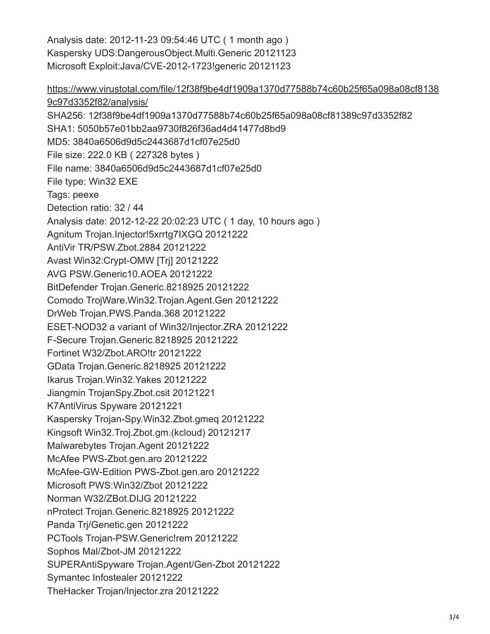Analysis date: 2012-11-23 09:54:46 UTC ( 1 month ago ) Kaspersky UDS:DangerousObject.Multi.Generic 20121123 Microsoft Exploit:Java/CVE-2012-1723!generic 20121123

[https://www.virustotal.com/file/12f38f9be4df1909a1370d77588b74c60b25f65a098a08cf8138](https://www.virustotal.com/file/12f38f9be4df1909a1370d77588b74c60b25f65a098a08cf81389c97d3352f82/analysis/) 9c97d3352f82/analysis/ SHA256: 12f38f9be4df1909a1370d77588b74c60b25f65a098a08cf81389c97d3352f82 SHA1: 5050b57e01bb2aa9730f826f36ad4d41477d8bd9 MD5: 3840a6506d9d5c2443687d1cf07e25d0 File size: 222.0 KB ( 227328 bytes ) File name: 3840a6506d9d5c2443687d1cf07e25d0 File type: Win32 EXE Tags: peexe Detection ratio: 32 / 44 Analysis date: 2012-12-22 20:02:23 UTC ( 1 day, 10 hours ago ) Agnitum Trojan.Injector!5xrrtg7IXGQ 20121222 AntiVir TR/PSW.Zbot.2884 20121222 Avast Win32:Crypt-OMW [Trj] 20121222 AVG PSW.Generic10.AOEA 20121222 BitDefender Trojan.Generic.8218925 20121222 Comodo TrojWare.Win32.Trojan.Agent.Gen 20121222 DrWeb Trojan.PWS.Panda.368 20121222 ESET-NOD32 a variant of Win32/Injector.ZRA 20121222 F-Secure Trojan.Generic.8218925 20121222 Fortinet W32/Zbot.ARO!tr 20121222 GData Trojan.Generic.8218925 20121222 Ikarus Trojan.Win32.Yakes 20121222 Jiangmin TrojanSpy.Zbot.csit 20121221 K7AntiVirus Spyware 20121221 Kaspersky Trojan-Spy.Win32.Zbot.gmeq 20121222 Kingsoft Win32.Troj.Zbot.gm.(kcloud) 20121217 Malwarebytes Trojan.Agent 20121222 McAfee PWS-Zbot.gen.aro 20121222 McAfee-GW-Edition PWS-Zbot.gen.aro 20121222 Microsoft PWS:Win32/Zbot 20121222 Norman W32/ZBot.DIJG 20121222 nProtect Trojan.Generic.8218925 20121222 Panda Trj/Genetic.gen 20121222 PCTools Trojan-PSW.Generic!rem 20121222 Sophos Mal/Zbot-JM 20121222 SUPERAntiSpyware Trojan.Agent/Gen-Zbot 20121222 Symantec Infostealer 20121222 TheHacker Trojan/Injector.zra 20121222